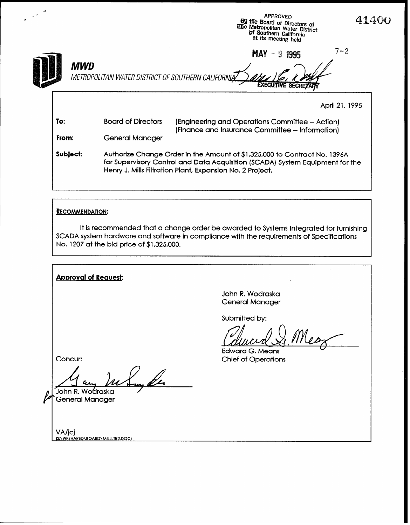|                          |                                                                                                                                                                                                                         | <b>APPROVED</b><br>41400<br><b>By the Board of Directors of</b><br>The Metropolitan Water District<br>of Southern California<br>at its meeting held |  |  |  |  |  |
|--------------------------|-------------------------------------------------------------------------------------------------------------------------------------------------------------------------------------------------------------------------|-----------------------------------------------------------------------------------------------------------------------------------------------------|--|--|--|--|--|
| MWD                      | $7 - 2$<br>$MAY - 9$ 1995<br>METROPOLITAN WATER DISTRICT OF SOUTHERN CALIFORNIA                                                                                                                                         |                                                                                                                                                     |  |  |  |  |  |
|                          |                                                                                                                                                                                                                         | April 21, 1995                                                                                                                                      |  |  |  |  |  |
| To:                      | <b>Board of Directors</b>                                                                                                                                                                                               | (Engineering and Operations Committee - Action)<br>(Finance and Insurance Committee - Information)                                                  |  |  |  |  |  |
| From:<br>General Manager |                                                                                                                                                                                                                         |                                                                                                                                                     |  |  |  |  |  |
| Subject:                 | Authorize Change Order in the Amount of \$1,325,000 to Contract No. 1396A<br>for Supervisory Control and Data Acquisition (SCADA) System Equipment for the<br>Henry J. Mills Filtration Plant, Expansion No. 2 Project. |                                                                                                                                                     |  |  |  |  |  |

## RECOMMENDATION:

It is recommended that a change order be awarded to Systems Integrated for furnishing SCADA system hardware and software in compliance with the requirements of Specifications No. 1207 at the bid price of \$1,325,000.

Approval of Request: John R. Wodraska General Manager Submitted by: Mean Edward G. Means Concur: Chief of Operations 10 aug 111 June 20 'General Manager VA/JCJ<br><u>(S:\WPSHARED\BOARD\MILLLT</u>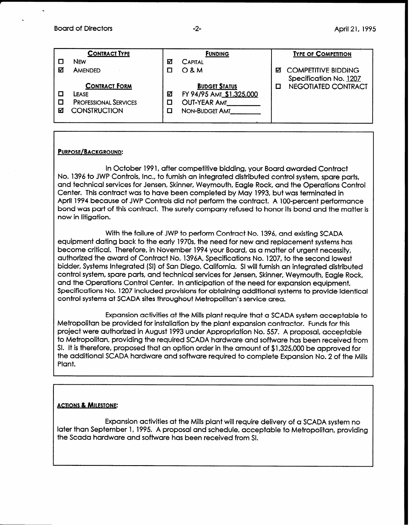#### Board of Directors **Board of Directors April 21, 1995**

|   | <b>CONTRACT TYPE</b>         |   | <b>FUNDING</b>           |   | <b>TYPE OF COMPETITION</b> |
|---|------------------------------|---|--------------------------|---|----------------------------|
|   | <b>NFW</b>                   | М | <b>CAPITAL</b>           |   |                            |
| M | AMENDED                      |   | $O$ & M                  | м | <b>COMPETITIVE BIDDING</b> |
|   |                              |   |                          |   | Specification No. 1207     |
|   | <b>CONTRACT FORM</b>         |   | <b>BUDGET STATUS</b>     |   | NEGOTIATED CONTRACT        |
|   | LEASE                        | ⊠ | FY 94/95 AMT \$1,325,000 |   |                            |
|   | <b>PROFESSIONAL SERVICES</b> |   | <b>OUT-YEAR AMT</b>      |   |                            |
| М | <b>CONSTRUCTION</b>          |   | <b>NON-BUDGET AMT</b>    |   |                            |
|   |                              |   |                          |   |                            |

## PURPOSE/BACKGROUND:

In October 199 1, after competitive bidding, your Board awarded Contract No. 1396 to JWP Controls, Inc., to furnish an integrated distributed control system, spare parts, and technical services for Jensen, Skinner, Weymouth, Eagle Rock, and the Operations Control Center. This contract was to have been completed by May 1993, but was terminated in April 1994 because of JWP Controls did not perform the contract. A 100-percent performance bond was part of this contract. The surety company refused to honor its bond and the matter is now in litigation.

With the failure of JWP to perform Contract No. 1396, and existing SCADA equipment dating back to the early 197Os, the need for new and replacement systems has become critical. Therefore, in November 1994 your Board, as a matter of urgent necessity, authorized the award of Contract No. 1396A, Specifications No. 1207, to the second lowest bidder, Systems Integrated (SI) of San Diego, California. SI will furnish an integrated distributed control system, spare parts, and technical services for Jensen, Skinner, Weymouth, Eagle Rock, and the Operations Control Center. In anticipation of the need for expansion equipment, Specifications No. 1207 included provisions for obtaining additional systems to provide identical control systems at SCADA sites throughout Metropolitan's service area.

Expansion activities at the Mills plant require that a SCADA system acceptable to Metropolitan be provided for installation by the plant expansion contractor. Funds for this project were authorized in August 1993 under Appropriation No. 557. A proposal, acceptable to Metropolitan, providing the required SCADA hardware and software has been received from SI. It is therefore, proposed that an option order in the amount of \$1,325,000 be approved for the additional SCADA hardware and software required to complete Expansion No. 2 of the Mills Plant.

#### ACTIONS & MILESTONE:

Expansion activities at the Mills plant will require delivery of a SCADA system no later than September 1, 1995. A proposal and schedule, acceptable to Metropolitan, providing the Scada hardware and software has been received from SI.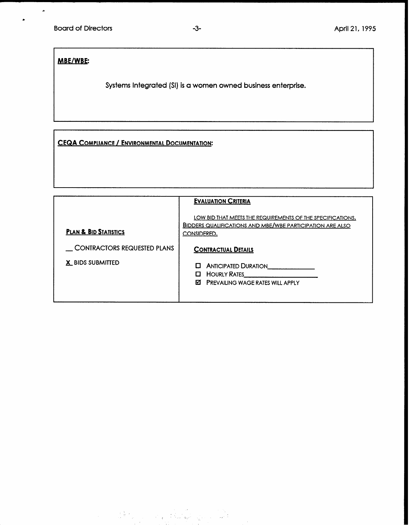# MBE/WBE:

.

 $\bar{\star}$ 

Systems Integrated (SI) is a women owned business enterprise.

CEQA COMPLIANCE / ENVIRONMENTAL DOCUMENTATION:

|                                                        | <b>EVALUATION CRITERIA</b>                                                                                                                    |  |  |  |
|--------------------------------------------------------|-----------------------------------------------------------------------------------------------------------------------------------------------|--|--|--|
| <b>PLAN &amp; BID STATISTICS</b>                       | LOW BID THAT MEETS THE REQUIREMENTS OF THE SPECIFICATIONS.<br><b>BIDDERS QUALIFICATIONS AND MBE/WBE PARTICIPATION ARE ALSO</b><br>CONSIDERED. |  |  |  |
| <b>CONTRACTORS REQUESTED PLANS</b><br>X BIDS SUBMITTED | <b>CONTRACTUAL DETAILS</b><br><b>ANTICIPATED DURATION</b><br>п<br>HOURLY RATES<br>0<br><b>EZI</b> PREVAILING WAGE RATES WILL APPLY            |  |  |  |